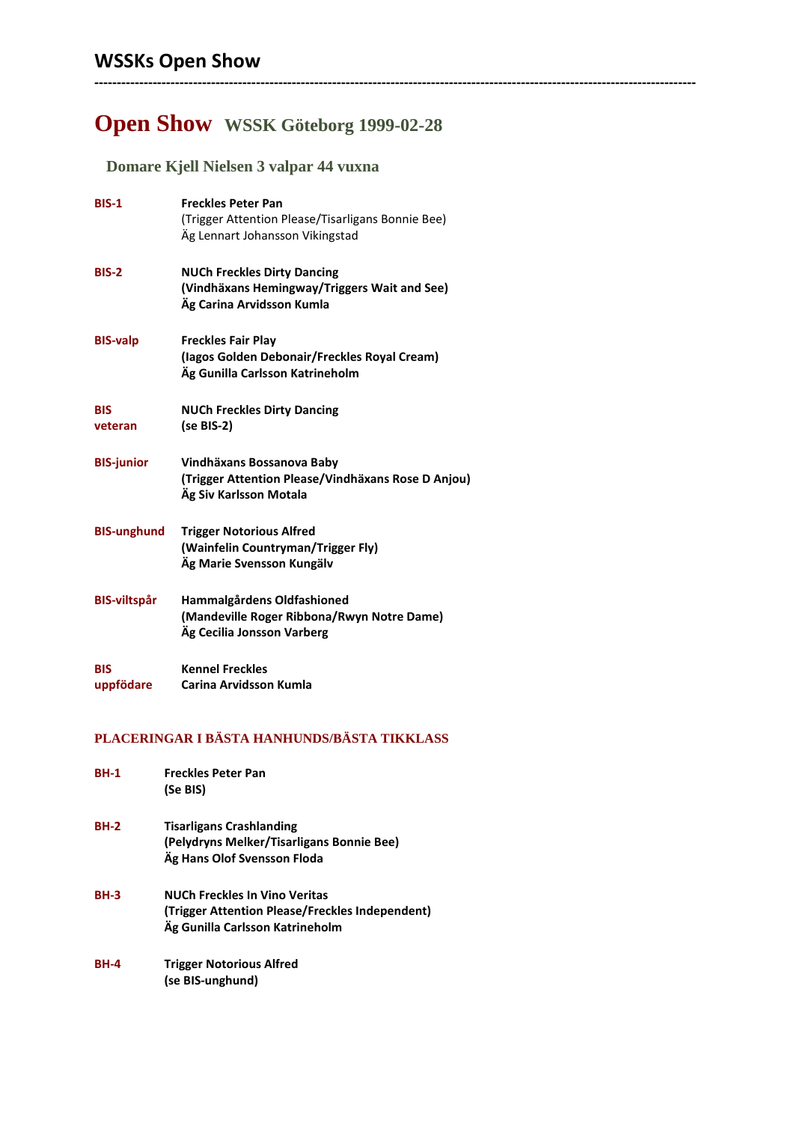## **Open Show WSSK Göteborg 1999-02-28**

**--------------------------------------------------------------------------------------------------------------------------------------**

 **Domare Kjell Nielsen 3 valpar 44 vuxna**

| <b>BIS-1</b>            | <b>Freckles Peter Pan</b><br>(Trigger Attention Please/Tisarligans Bonnie Bee)<br>Äg Lennart Johansson Vikingstad |
|-------------------------|-------------------------------------------------------------------------------------------------------------------|
| BIS-2                   | <b>NUCh Freckles Dirty Dancing</b><br>(Vindhäxans Hemingway/Triggers Wait and See)<br>Ag Carina Arvidsson Kumla   |
| <b>BIS-valp</b>         | <b>Freckles Fair Play</b><br>(lagos Golden Debonair/Freckles Royal Cream)<br>Äg Gunilla Carlsson Katrineholm      |
| <b>BIS</b><br>veteran   | <b>NUCh Freckles Dirty Dancing</b><br>(se BIS-2)                                                                  |
| <b>BIS-junior</b>       | Vindhäxans Bossanova Baby<br>(Trigger Attention Please/Vindhäxans Rose D Anjou)<br>Äg Siv Karlsson Motala         |
| <b>BIS-unghund</b>      | <b>Trigger Notorious Alfred</b><br>(Wainfelin Countryman/Trigger Fly)<br>Äg Marie Svensson Kungälv                |
| <b>BIS-viltspår</b>     | Hammalgårdens Oldfashioned<br>(Mandeville Roger Ribbona/Rwyn Notre Dame)<br>Äg Cecilia Jonsson Varberg            |
| <b>BIS</b><br>uppfödare | <b>Kennel Freckles</b><br>Carina Arvidsson Kumla                                                                  |

## **PLACERINGAR I BÄSTA HANHUNDS/BÄSTA TIKKLASS**

| <b>BH-1</b> | <b>Freckles Peter Pan</b><br>(Se BIS)                                                                                      |
|-------------|----------------------------------------------------------------------------------------------------------------------------|
| <b>BH-2</b> | <b>Tisarligans Crashlanding</b><br>(Pelydryns Melker/Tisarligans Bonnie Bee)<br>Äg Hans Olof Svensson Floda                |
| <b>BH-3</b> | <b>NUCh Freckles In Vino Veritas</b><br>(Trigger Attention Please/Freckles Independent)<br>Ag Gunilla Carlsson Katrineholm |
| <b>BH-4</b> | <b>Trigger Notorious Alfred</b><br>(se BIS-unghund)                                                                        |